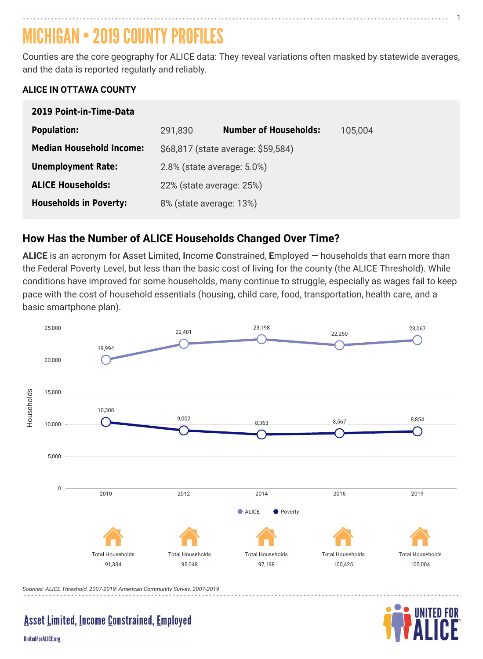# MICHIGAN • 2019 COUNTY PROFILES

Counties are the core geography for ALICE data: They reveal variations often masked by statewide averages, and the data is reported regularly and reliably.

#### **ALICE IN OTTAWA COUNTY**

| 2019 Point-in-Time-Data         |                                    |                              |         |
|---------------------------------|------------------------------------|------------------------------|---------|
| <b>Population:</b>              | 291,830                            | <b>Number of Households:</b> | 105,004 |
| <b>Median Household Income:</b> | \$68,817 (state average: \$59,584) |                              |         |
| <b>Unemployment Rate:</b>       | $2.8\%$ (state average: $5.0\%$ )  |                              |         |
| <b>ALICE Households:</b>        | 22% (state average: 25%)           |                              |         |
| <b>Households in Poverty:</b>   | 8% (state average: 13%)            |                              |         |

 $\blacksquare$  ALICE is an acronym for  $\spadesuit$  Asset Limited, Income Constrained, Employed  $-$  households that earn more than the Federal Poverty Level, but less than the basic cost of living for the county (the ALICE Threshold). While conditions have improved for some households, many continue to struggle, especially as wages fail to keep pace with the cost of household essentials (housing, child care, food, transportation, health care, and a basic smartphone plan).

#### **How Has the Number of ALICE Households Changed Over Time?**

*Sources: ALICE Threshold, 2007-2019; American Community Survey, 2007-2019*

#### **Asset Limited, Income Constrained, Employed**

**UnitedForALICE.org** 





1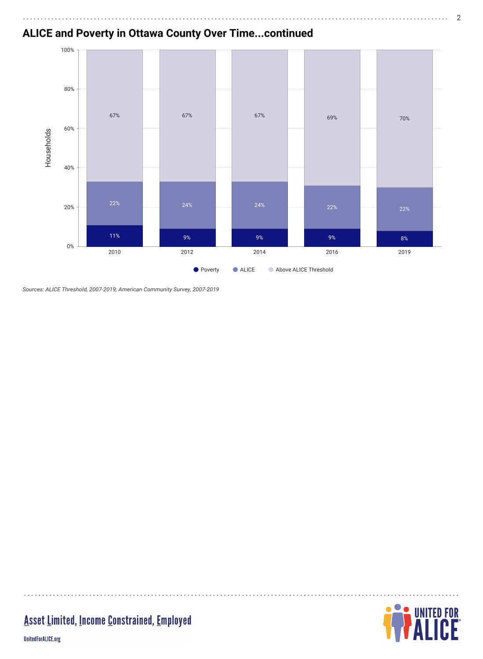#### **ALICE and Poverty in Ottawa County Over Time...continued**

*Sources: ALICE Threshold, 2007-2019; American Community Survey, 2007-2019*



 $\cdots$ 

## **Asset Limited, Income Constrained, Employed**

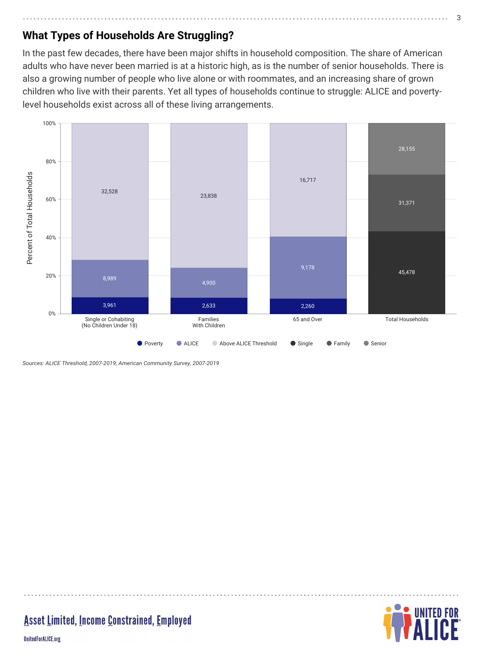# **What Types of Households Are Struggling?**

In the past few decades, there have been major shifts in household composition. The share of American adults who have never been married is at a historic high, as is the number of senior households. There is also a growing number of people who live alone or with roommates, and an increasing share of grown children who live with their parents. Yet all types of households continue to struggle: ALICE and povertylevel households exist across all of these living arrangements.



*Sources: ALICE Threshold, 2007-2019; American Community Survey, 2007-2019*

#### **Asset Limited, Income Constrained, Employed**

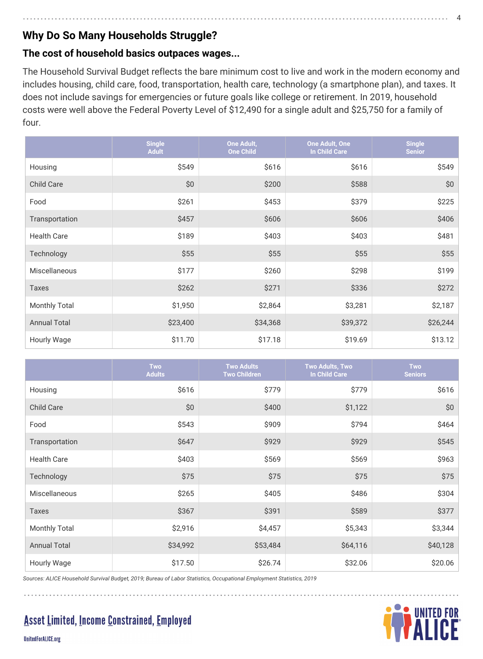## **Why Do So Many Households Struggle?**

#### **The cost of household basics outpaces wages...**

The Household Survival Budget reflects the bare minimum cost to live and work in the modern economy and includes housing, child care, food, transportation, health care, technology (a smartphone plan), and taxes. It does not include savings for emergencies or future goals like college or retirement. In 2019, household costs were well above the Federal Poverty Level of \$12,490 for a single adult and \$25,750 for a family of four.

|                      | <b>Single</b><br><b>Adult</b> | <b>One Adult,</b><br><b>One Child</b> | One Adult, One<br><b>In Child Care</b> | <b>Single</b><br><b>Senior</b> |
|----------------------|-------------------------------|---------------------------------------|----------------------------------------|--------------------------------|
| Housing              | \$549                         | \$616                                 | \$616                                  | \$549                          |
| <b>Child Care</b>    | \$0                           | \$200                                 | \$588                                  | \$0                            |
| Food                 | \$261                         | \$453                                 | \$379                                  | \$225                          |
| Transportation       | \$457                         | \$606                                 | \$606                                  | \$406                          |
| <b>Health Care</b>   | \$189                         | \$403                                 | \$403                                  | \$481                          |
| Technology           | \$55                          | \$55                                  | \$55                                   | \$55                           |
| <b>Miscellaneous</b> | \$177                         | \$260                                 | \$298                                  | \$199                          |
| <b>Taxes</b>         | \$262                         | \$271                                 | \$336                                  | \$272                          |
| <b>Monthly Total</b> | \$1,950                       | \$2,864                               | \$3,281                                | \$2,187                        |
| <b>Annual Total</b>  | \$23,400                      | \$34,368                              | \$39,372                               | \$26,244                       |
| <b>Hourly Wage</b>   | \$11.70                       | \$17.18                               | \$19.69                                | \$13.12                        |

*Sources: ALICE Household Survival Budget, 2019; Bureau of Labor Statistics, Occupational Employment Statistics, 2019*

**Asset Limited, Income Constrained, Employed** 



**UnitedForALICE.org** 

|                      | Two<br><b>Adults</b> | <b>Two Adults</b><br><b>Two Children</b> | Two Adults, Two<br><b>In Child Care</b> | <b>Two</b><br><b>Seniors</b> |
|----------------------|----------------------|------------------------------------------|-----------------------------------------|------------------------------|
| Housing              | \$616                | \$779                                    | \$779                                   | \$616                        |
| <b>Child Care</b>    | \$0                  | \$400                                    | \$1,122                                 | \$0                          |
| Food                 | \$543                | \$909                                    | \$794                                   | \$464                        |
| Transportation       | \$647                | \$929                                    | \$929                                   | \$545                        |
| <b>Health Care</b>   | \$403                | \$569                                    | \$569                                   | \$963                        |
| Technology           | \$75                 | \$75                                     | \$75                                    | \$75                         |
| <b>Miscellaneous</b> | \$265                | \$405                                    | \$486                                   | \$304                        |
| <b>Taxes</b>         | \$367                | \$391                                    | \$589                                   | \$377                        |
| <b>Monthly Total</b> | \$2,916              | \$4,457                                  | \$5,343                                 | \$3,344                      |
| <b>Annual Total</b>  | \$34,992             | \$53,484                                 | \$64,116                                | \$40,128                     |
| <b>Hourly Wage</b>   | \$17.50              | \$26.74                                  | \$32.06                                 | \$20.06                      |

4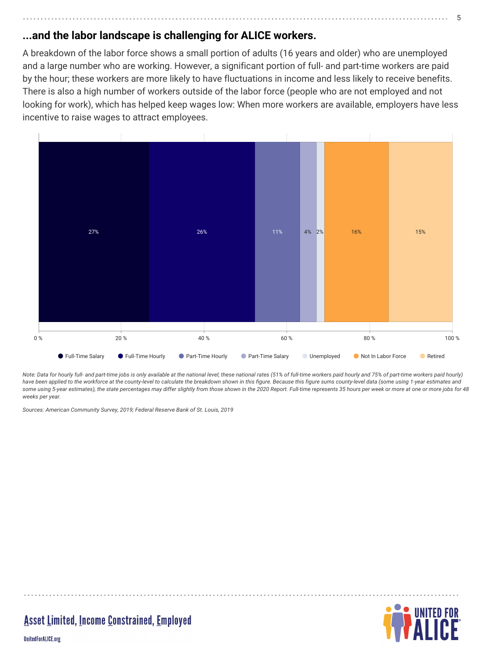## **...and the labor landscape is challenging for ALICE workers.**

A breakdown of the labor force shows a small portion of adults (16 years and older) who are unemployed and a large number who are working. However, a significant portion of full- and part-time workers are paid by the hour; these workers are more likely to have fluctuations in income and less likely to receive benefits. There is also a high number of workers outside of the labor force (people who are not employed and not looking for work), which has helped keep wages low: When more workers are available, employers have less incentive to raise wages to attract employees.

*Note: Data for hourly full- and part-time jobs is only available at the national level; these national rates (51% of full-time workers paid hourly and 75% of part-time workers paid hourly) have been applied to the workforce at the county-level to calculate the breakdown shown in this figure. Because this figure sums county-level data (some using 1-year estimates and some using 5-year estimates), the state percentages may differ slightly from those shown in the 2020 Report. Full-time represents 35 hours per week or more at one or more jobs for 48 weeks per year.*

*Sources: American Community Survey, 2019; Federal Reserve Bank of St. Louis, 2019*



**Asset Limited, Income Constrained, Employed** 

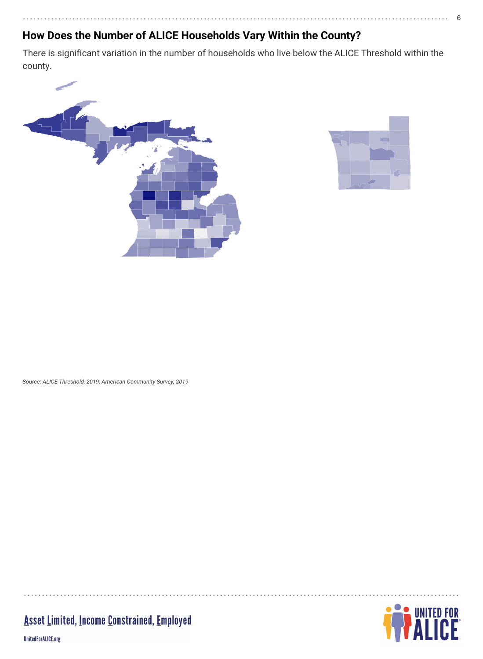#### **How Does the Number of ALICE Households Vary Within the County?**

There is significant variation in the number of households who live below the ALICE Threshold within the county.





## **Asset Limited, Income Constrained, Employed**

UnitedForALICE.org



6